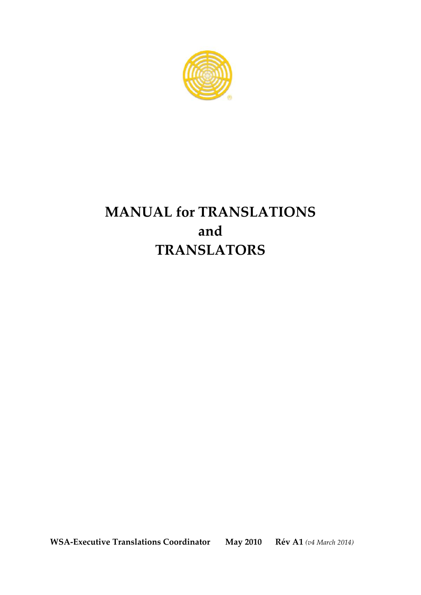

# **MANUAL for TRANSLATIONS and TRANSLATORS**

**WSA-Executive Translations Coordinator May 2010 Rév A1** *(v4 March 2014)*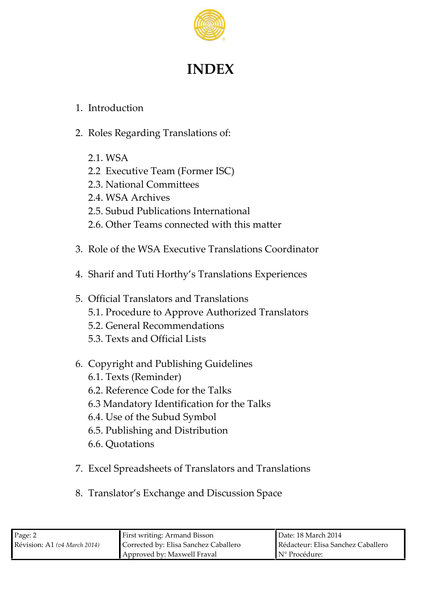

# **INDEX**

## 1. Introduction

- 2. Roles Regarding Translations of:
	- 2.1. WSA
	- 2.2 Executive Team (Former ISC)
	- 2.3. National Committees
	- 2.4. WSA Archives
	- 2.5. Subud Publications International
	- 2.6. Other Teams connected with this matter
- 3. Role of the WSA Executive Translations Coordinator
- 4. Sharif and Tuti Horthy's Translations Experiences
- 5. Official Translators and Translations 5.1. Procedure to Approve Authorized Translators 5.2. General Recommendations 5.3. Texts and Official Lists
- 6. Copyright and Publishing Guidelines
	- 6.1. Texts (Reminder)
	- 6.2. Reference Code for the Talks
	- 6.3 Mandatory Identification for the Talks
	- 6.4. Use of the Subud Symbol
	- 6.5. Publishing and Distribution
	- 6.6. Quotations
- 7. Excel Spreadsheets of Translators and Translations
- 8. Translator's Exchange and Discussion Space

| Page: 2                         | First writing: Armand Bisson          | <b>Date: 18 March 2014</b>         |  |
|---------------------------------|---------------------------------------|------------------------------------|--|
| Révision: A1 ( $v4$ March 2014) | Corrected by: Elisa Sanchez Caballero | Rédacteur: Elisa Sanchez Caballero |  |
|                                 | Approved by: Maxwell Fraval           | $\mathbb{N}^{\circ}$ Procédure:    |  |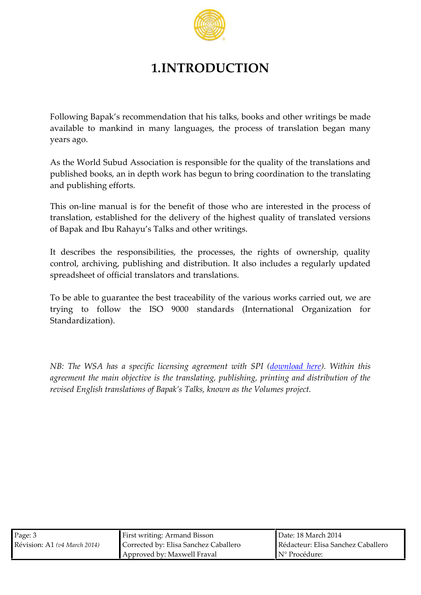## 1.INTRODUCTION

Following Bapak s recomhante hidsattianches, books interindgent moved be moved by available to mankind in many languages and the process mannty years ago.

As the World Subud Association is responsible for the qualit published books, an in depth work has begtuon thoe barriannos load oin gling and publishing efforts.

This -binne manual is for the hobsen ewihto indeteresteton einprocess of translates tablished for the delivery of the highest quality of of Bapak and Ibu RahayuhserT wirki sinagnsd. ot

It describes the responsibilities, the processes, the right control, archiving, publishing and distribution. It also includ spreadsheet of official translators and translations.

To be able rante the best traceability of the various eworks of trying to follow ISO 9s0tCaOndards (International Organization Standardization)

NB:The WSA has a specific licensin**g oavgrieenent).eWhet the inthin SPI** ( agreement the main objective is the translating, publishing, revised English translations of Bapoblkumse Tsapks jekortown as th

| $P$ ag $\theta$                     | <b>First wriflingand Bisson</b>                        | $\blacksquare$ Dat: et 8 March 2014 |  |
|-------------------------------------|--------------------------------------------------------|-------------------------------------|--|
| Révisi <b>A</b> fi(v4 M a r c2h041) | Correcbe Elisa Sanchez Caball Rédact Eursa Sanchez Cal |                                     |  |
|                                     | ApprovbdMaxwell Fraval                                 | IN° Procédure:                      |  |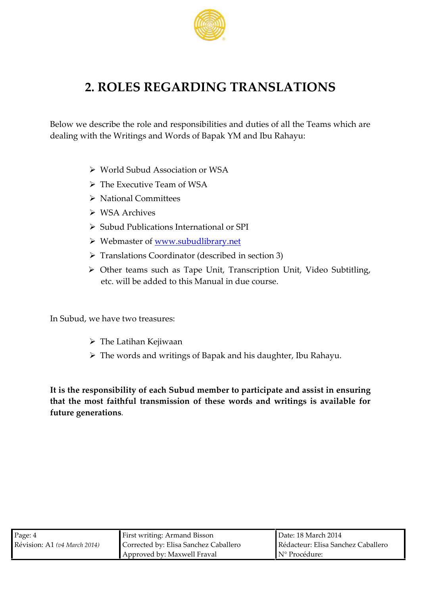## 2.ROLESREGARDING TRANSLATIONS

Below we detshoeriboele and responsibilities and duties of all the dealing whith Writings and Words of Bapak YM and Ibu Rahayu:

ðØWorld Subud Association or WSA  $\delta$ ØThe Executive We $\delta$ Am of ðØNation Cadim mittees ðØWSA Archives ðØSubud Publications International or SPI ðØWebmastowwowf.subudlibrary.net ðØTranslations Coordinatom \$destoormb 3d  $\delta\varnothing$  Other teams such as Trapec **Uipiti**on Videos  $\theta$ ubtitling, etc. wild do deed to this Manual in due course.

In Subud, we have two treasures:

ðØThe Latihan Kejiwaan ðØThe words and writings of Bapak and his daughter, II

It is the responsibility of each Subud membiest tion peanstructipate that the most faithful transmission of these words and writ future generations

| $P$ age                          | First wriflingand Bisson                              | Dat:d 8 March 2014 |  |
|----------------------------------|-------------------------------------------------------|--------------------|--|
| Révisi <b>A</b> nh(v4 Marc2h041) | Correcbe Elisa Sanchez Caball Rédacteursa Sanchez Cal |                    |  |
|                                  | ApprovbdMaxwell Fraval                                | N° Procédure:      |  |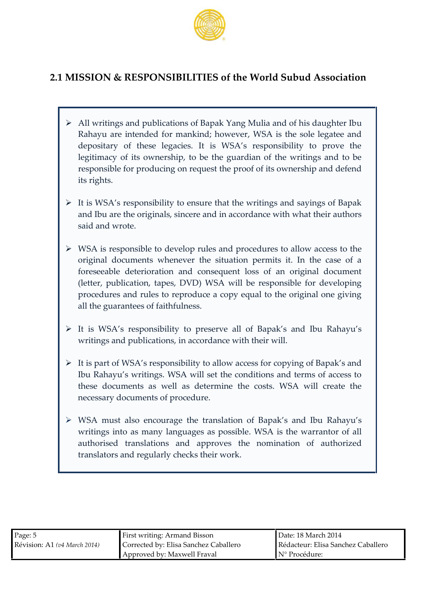

## **2.1 MISSION & RESPONSIBILITIES of the World Subud Association**

- All writings and publications of Bapak Yang Mulia and of his daughter Ibu Rahayu are intended for mankind; however, WSA is the sole legatee and depositary of these legacies. It is WSA's responsibility to prove the legitimacy of its ownership, to be the guardian of the writings and to be responsible for producing on request the proof of its ownership and defend its rights.
- $\triangleright$  It is WSA's responsibility to ensure that the writings and sayings of Bapak and Ibu are the originals, sincere and in accordance with what their authors said and wrote.
- $\triangleright$  WSA is responsible to develop rules and procedures to allow access to the original documents whenever the situation permits it. In the case of a foreseeable deterioration and consequent loss of an original document (letter, publication, tapes, DVD) WSA will be responsible for developing procedures and rules to reproduce a copy equal to the original one giving all the guarantees of faithfulness.
- It is WSA's responsibility to preserve all of Bapak's and Ibu Rahayu's writings and publications, in accordance with their will.
- $\triangleright$  It is part of WSA's responsibility to allow access for copying of Bapak's and Ibu Rahayu's writings. WSA will set the conditions and terms of access to these documents as well as determine the costs. WSA will create the necessary documents of procedure.
- WSA must also encourage the translation of Bapak's and Ibu Rahayu's writings into as many languages as possible. WSA is the warrantor of all authorised translations and approves the nomination of authorized translators and regularly checks their work.

| Page: 5                         | First writing: Armand Bisson          | ∎Date: 18 March 2014               |
|---------------------------------|---------------------------------------|------------------------------------|
| Révision: A1 ( $v4$ March 2014) | Corrected by: Elisa Sanchez Caballero | Rédacteur: Elisa Sanchez Caballero |
|                                 | Approved by: Maxwell Fraval           | $\mathbb{N}^{\circ}$ Procédure:    |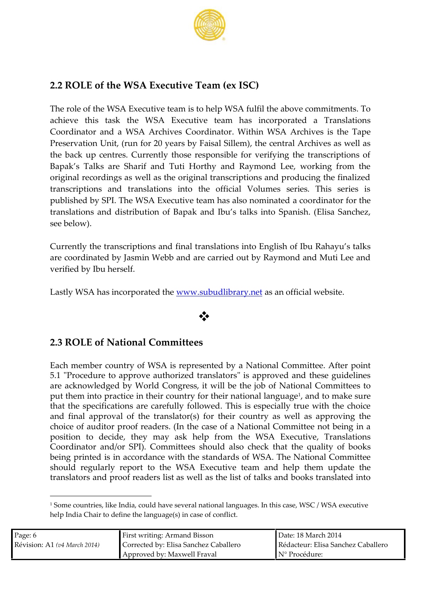### $2.ROL$   $B$  fithe WA  $E$  x ecutive Team (ex ISC)

Therole of WISGE xecutive a mistohelpWSAfulfil the above commitments  $\alpha$  a chieve this the as KV SEA  $x$  e cutive team has incarporated and a ted on s Coordinaator WSA Archives Coor Wiint and SA Archiveshep Ta Preservaldinoin, unit for 20 years by Faitseal centilem in Archives as well the back up centres. Currently those responsible for verifyi Bapak s Talks are Sharif and Tuti Horthy and Raymond Le origial recordings as well as the original transcriptions and producing the final product of  $p$ transcriptions and translations into the official Volumes published by SPI. The WSA Executive team on that instruction the minat translastioannd distribution  $a$  fidB alpua s talks int $E$ li $S$  a a $\delta$  as  $n$ ch  $\epsilon$  z see bellow

Currently the transs anioption al translant ond ins a niot of LEU Rahayu s talks arecoordinated by Jasminar Webb behandut by Raymond and Muti L veified by Ibu herself.

Lastly WSA has incorpown at the wibuldial rearsy and to fficial website.

## ðv

 $2.3R$   $Q$ . Eq. f Natio $Q$ a m mittees

Eachmemb ecountry of WSA is repareNsent india dlbCyom mAifttegore. Annument 5.1"Procedure to approve author is a pto anoused the series guidelines areacknowleddbgye World Congress, it will be the half e C pomb monit be e putthem inptroaticien their conformrtntyheir national,ahanndgtuoagneake sure that thseo ecificataincen scarefully following esidese e i atliture with the choice andfinal approval of thes) tfeat the sharp fraggeries well as apple ving choico of audoit proof read lent is ecase ad Vational Commo ibtee ienigna  $p$  ositionto decide e  $q$ mayask hpe firom the SAE xecutive ansiations Coordinaatord/or SCP of mmittes basuld also toh hast bequality books beinggrinetdisinaccordawnictehthe standWorSdAsThone National Committee should regularlty tontehoeWrSAExecutive team atomotophoe thenupe of the help themup of the must be must translatorop roof reald seats well as the alliks dabiooks translated into

1Some countries, like India, could have several national languages. In thi help India Chair to define the language(s) in case of conflict.

| Pag6                                 | First wrif Ainmand Bisson                              | Dated 8 March 2014 |
|--------------------------------------|--------------------------------------------------------|--------------------|
| Révisi <b>A</b> fil(v4 M a r c2h041) | Correcbe Elisa Sanchez Caball Rédact Eursa Sanchez Cal |                    |
|                                      | ApprovbdMaxwell Fraval                                 | IN° Procédure:     |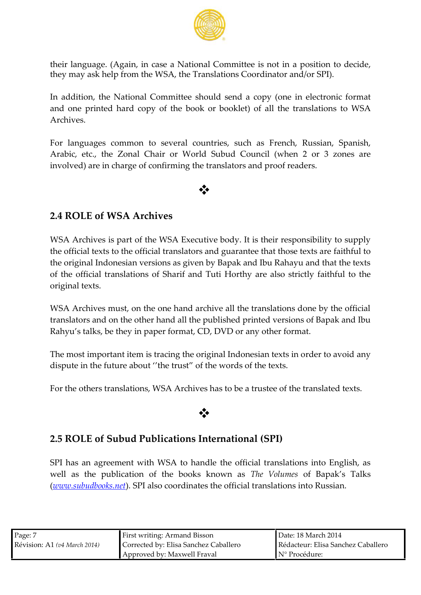their lang (Aaggaeinn, casaeN ational Committee a pisosniotion to decide the may ask help m the SA the Translat Coons rdinator dor SPI).

In addition **e** National Commount to the a copy inedestronicatorm and one printed hard  $b$ opk of the book leat) the trantsol of  $S$  ans Archives.

For languagems non to severmile scoul to has ench, Russian, Spanish, French, Spanish, Spanish,  $\frac{1}{2}$ Arabi etch, eZonal Chair o or rdSunbudCouncil when2 or 3 zones are involved) are in forthe figured the translators and proof readers.

### ðv

### 2.4ROLEofWSA Archives

WSA r&hivess part of the WSSA e Executy. It is their responsibility the official texts to the official translators and faquitathentee that the original Indonesian versions as given by Bapak and Ibu R of the official traonfst& antifonend Tuti Horthy are faait shounds tunning tly original texts.

WSA rethives are the one hand archive all the translations do translators and tho enrith and all the published op minded Bapak and Ibu Rahyutasks, be they in paper format, CD, DVD or any other format.

The most important item is tracing the original Indangsian te disput the future about of the wousts of the texts.

For the others tra MSA  $A$   $\alpha$   $B$   $B$  as to be a trustee of the translate

### ðv

#### 2.5ROLEF Subud Publications Interligiational

SPI has an agreement with Mon8 Aoftfochamin ditenslations into English well as the publication of the  $\overline{b}$  beks of  $\overline{a}$  and  $\overline{b}$  and  $\overline{a}$   $\overline{a}$  and  $\overline{b}$  and  $\overline{a}$ (www.subudb $\phi$  SRPs. na esto coordinates the an officiions into Russian.

| Pagē                               | First wriflingand Bisson                              | Dat: d 8 March 2014 |
|------------------------------------|-------------------------------------------------------|---------------------|
| $R$ évisi $A$ fi(v4 Marc $2$ h041) | Correcbe ∉lisa Sanchez Caball Rédact∉ursa Sanchez Cal |                     |
|                                    | ApprovbdMaxwell Fraval                                | ▌N° Procédure:      |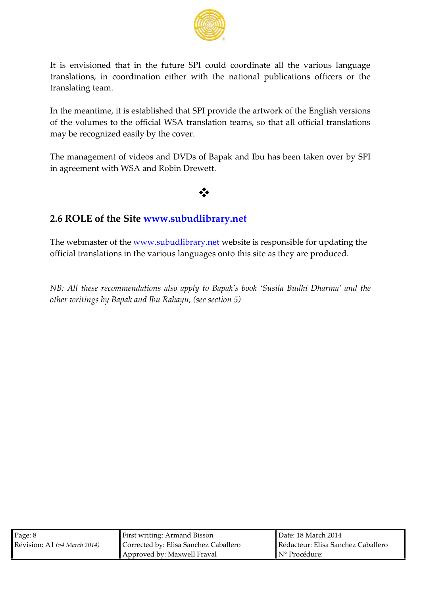It is envisioned that in the future SPI could coordinate all translations, in coordination enation enal wpublications officers or translating team.

In the mea, nittims eestablished that SPI provident heis artweoskons th of the volumese official WSA translation teams, so that all may be recognized by the cover.

Themanagemein tideos and old VBD apak aund also been taken over by in  $\alpha$ gement with WSA and Rtobin Drewe

## ðv

2.6ROLESf thSet[ewww.subudlibra](http://www.subudlibrary.net/)ry.net

The webmaste<u>w wow.tshuebudlibr</u>awroy brsteitsbeesponsfi**obile** pdating the official translations ihan higher avget fout this assitusely are produced

NB: All these recomanhseon daaptoolyn sto BaSpuaskilsa bBoouDookha rmana dhoe other wrsibtiyn Bapak ua Roahl,b(ysuesee cti5o)n

| $P \text{a} \text{g} \text{B}$     | First wrif Ainmand Bisson                              | Dated 8 March 2014                              |
|------------------------------------|--------------------------------------------------------|-------------------------------------------------|
| $R$ évisi $A$ fi(v4 Marc $2$ h041) | Correcbe Elisa Sanchez Caball Rédact Eursa Sanchez Cal |                                                 |
|                                    | ApprovbøMaxwell Fraval                                 | $\blacksquare$ $N^{\circ}$ $\vdash$ Procédure : |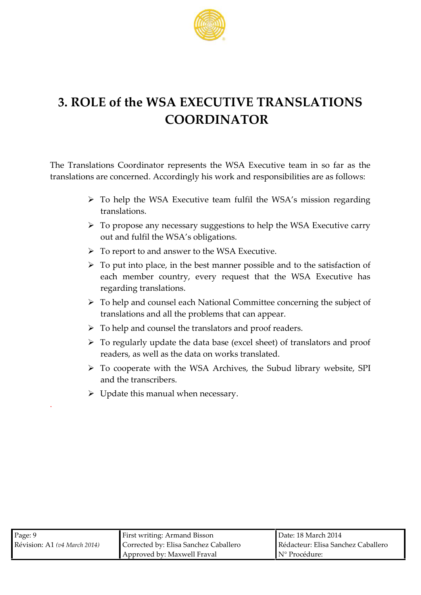

# **3. ROLE of the WSA EXECUTIVE TRANSLATIONS COORDINATOR**

The Translations Coordinator represents the WSA Executive team in so far as the translations are concerned. Accordingly his work and responsibilities are as follows:

- To help the WSA Executive team fulfil the WSA's mission regarding translations.
- To propose any necessary suggestions to help the WSA Executive carry out and fulfil the WSA's obligations.
- To report to and answer to the WSA Executive.
- $\triangleright$  To put into place, in the best manner possible and to the satisfaction of each member country, every request that the WSA Executive has regarding translations.
- $\triangleright$  To help and counsel each National Committee concerning the subject of translations and all the problems that can appear.
- $\triangleright$  To help and counsel the translators and proof readers.
- $\triangleright$  To regularly update the data base (excel sheet) of translators and proof readers, as well as the data on works translated.
- To cooperate with the WSA Archives, the Subud library website, SPI and the transcribers.
- $\triangleright$  Update this manual when necessary.

.

| Page: 9                      | <b>First writing: Armand Bisson</b>   | Date: 18 March 2014                |
|------------------------------|---------------------------------------|------------------------------------|
| Révision: A1 (v4 March 2014) | Corrected by: Elisa Sanchez Caballero | Rédacteur: Elisa Sanchez Caballero |
|                              | Approved by: Maxwell Fraval           | $\mathbb{N}^{\circ}$ Procédure:    |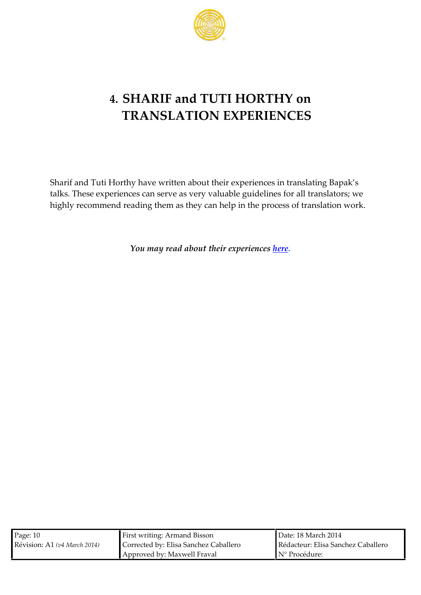# 4.SHARIF and TUTI HOOR THY **TRANSLATIONPERIENCES**

Sharif  $\overline{a}$  nd Horthy have warbiotuetnt be aprefiences in translating Bapa talks. The senece pse caen serve as very valuable agnusilohed when see s for a highly recommend reading them as they can help in the proce

You maeyad abtohuet experi[enc](http://www.subud.org/dyn/file/media_programs/publ_translations/TranslationsNotes-SharifTuti_110101.pdf)es

| Pag <b>é</b> 0                   | First wriflingand Bisson                              | $D$ at:ed 8 March 2014 |  |
|----------------------------------|-------------------------------------------------------|------------------------|--|
| Révisi <b>A</b> nh(v4 Marc2h041) | Correcbe Elisa Sanchez Caball Rédacteursa Sanchez Cal |                        |  |
|                                  | ApprovbdMaxwell Fraval                                | N° Procédure:          |  |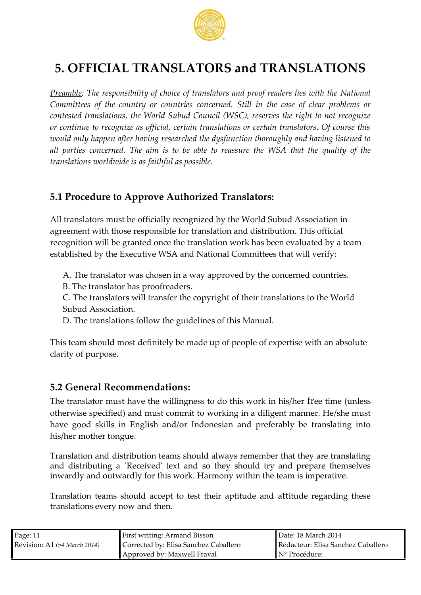

# **5. OFFICIAL TRANSLATORS and TRANSLATIONS**

*Preamble: The responsibility of choice of translators and proof readers lies with the National Committees of the country or countries concerned. Still in the case of clear problems or contested translations, the World Subud Council (WSC), reserves the right to not recognize or continue to recognize as official, certain translations or certain translators. Of course this would only happen after having researched the dysfunction thoroughly and having listened to all parties concerned. The aim is to be able to reassure the WSA that the quality of the translations worldwide is as faithful as possible.*

## **5.1 Procedure to Approve Authorized Translators:**

All translators must be officially recognized by the World Subud Association in agreement with those responsible for translation and distribution. This official recognition will be granted once the translation work has been evaluated by a team established by the Executive WSA and National Committees that will verify:

A. The translator was chosen in a way approved by the concerned countries.

B. The translator has proofreaders.

C. The translators will transfer the copyright of their translations to the World Subud Association.

D. The translations follow the guidelines of this Manual.

This team should most definitely be made up of people of expertise with an absolute clarity of purpose.

## **5.2 General Recommendations:**

The translator must have the willingness to do this work in his/her free time (unless otherwise specified) and must commit to working in a diligent manner. He/she must have good skills in English and/or Indonesian and preferably be translating into his/her mother tongue.

Translation and distribution teams should always remember that they are translating and distributing a `Received' text and so they should try and prepare themselves inwardly and outwardly for this work. Harmony within the team is imperative.

Translation teams should accept to test their aptitude and attitude regarding these translations every now and then.

| Page: 11                     | First writing: Armand Bisson          | Date: 18 March 2014                |
|------------------------------|---------------------------------------|------------------------------------|
| Révision: A1 (v4 March 2014) | Corrected by: Elisa Sanchez Caballero | Rédacteur: Elisa Sanchez Caballero |
|                              | Approved by: Maxwell Fraval           | N° Procédure:                      |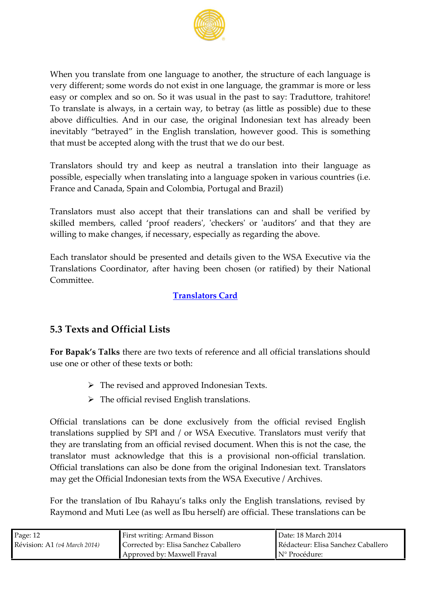When you trafm shatene language to another, the structure of very differseonnhe wordst elos isoto in one lahneg gaagen mar is more or le easy or complex cam.d So it was usual in the past to say: Trad To translate is in a law a cupertain to where  $t$  (and  $s$  little aspossible) due to thes above difficulties. And the courigulation estant has already been inevitablugtrad in the English translation, however good. Thi that must be accepted along with the trust that we do our best.

Translators should try and keep as neutral a translation in possible, especially when trangualeng into a intavarious countri France and Canaal al, CS colomina, Portugal and Brazil)

Translators must also accept that their translations can and skilled members, proceed fedeladdenes ck'eors'audito asnd ath they are willing to mha knegefsne cessary, especially as regarding the abo

Each translator should be presented and details given to the Translations redinator, after having been chosen Nextrionatified) Committee

[Translators](http://www.subud.org/dyn/file/media_programs/publ_translations/TranslatorCard.xlsx) Card

5. **Jexts a**Onfolicial Lists

For Bapak sthat esare two texts of reference and all official t use ome her of these texts or both:

ðØTheevised and approved Indonesian Texts ðØThe ofaficrievised English translations.

Officiaa mst ations and e done exclusively from the official revist translations uspplied SIPY dan/orWSA ExecuTtranessbars must verify that they are translating from  $\alpha$  is note do form  $\alpha$  and  $\alpha$  reviewed and the case of the case of the case, the case, the case, the case, the case, the case, the case, the case, the case, the case, the case, the case, the translator ancuks ntowled homet this pisouaisional of infiniculation. Officiaal nst ha tio on as na ls bedone from ne origliniolonenstige xt. Translators may get the Official Indonestion We  $x \cdot x + y \cdot x + z$  Archives.

For the translation of Ibu Rahayu s talks only the English t Raymond and Muti Lee (as well as  $I$ b $\overline{u}$  hhere the  $\overline{u}$  at  $\overline{u}$  at  $\overline{u}$  at  $\overline{u}$  at  $\overline{u}$  at  $\overline{u}$  at  $\overline{u}$  at  $\overline{u}$  at  $\overline{u}$  at  $\overline{u}$  at  $\overline{u}$  at  $\overline{u}$  at  $\overline{u}$  at  $\overline{u}$ 

| $P \text{a q} \oplus 2$             | <b>First wriflingand Bisson</b>                        | Dat: d 8 March 2014            |
|-------------------------------------|--------------------------------------------------------|--------------------------------|
| Révisi <b>A</b> fi(v4 M a r c2h041) | Correcbe Elisa Sanchez Caball Rédact Eursa Sanchez Cal |                                |
|                                     | ApprovbdMaxwell Fraval                                 | $\mathsf{IN}^\circ$ Procédure: |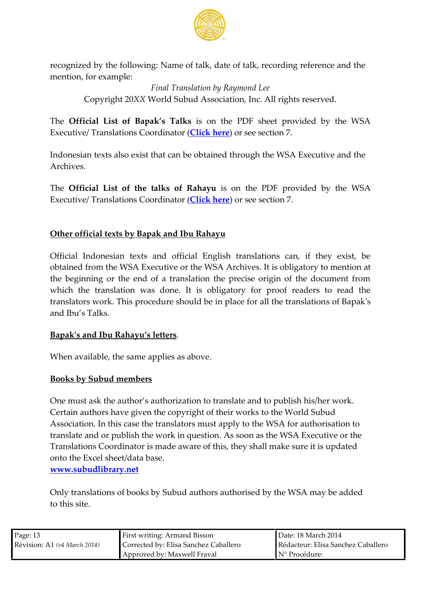recognized boylltchweinNga: me of talk, date of talk, recording reference  $m$ ention  $n$ or example:

Final Translation by Raymond Lee

Copyight X2X0W orld Subuson  $A$  at idnc All rights reserved.

TheOfficial List of Bapaik sontheralk RDF sheet provided by the ExecutiTy rea/ n slatCoonos d to a [Click he](http://www.subud.org/dyn/file/media_programs/publ_translations/Bapak%5C%27sTalks_2011List.pdf)arns e section

Indonesian texts also existant that the ranu oble to the WSA Executive and the distribution of the the the the Archives.

TheOfficial Listhe talks of Reahoahyhue PDpFFovided thogWSA  $E \times e$  cutive  $n$  slat $C$ comos dino  $aC($ lick h $)$ eorresesection

#### Other official texts by Bapak and Ibu Rahayu

Official Indonesian texts and official English translations obtained from the WiSA  $\mathbf{Ex}\cdot\mathbf{eb}\cdot\mathbf{a}$ WcShAves. It is obligatoay to mer the beginning or the end of a translation the precise origin which the translation was done. It is obligatory for proof translators work. This procedure should be insplaBapsook all th and bu s Talks

#### Bapaksand IbRuahaysu letters

When available ame applies as above

#### Books by Subud members

One must ask the author s authorization to translate and to p Certain authors have given the coptoright of the Seultrum orks Association. In this case the translators must apply to the W translate and or publish the  $\mathbf w$  or  $\mathbf x$  in question  $\mathbf w$  SA Executive or TranslatCoons rdinator is made aware of this eithiesy usphoballendake s onto the  $\mathsf{g}\mathsf{ke}\mathsf{et}/\mathsf{data}$  base. www.ubudlibracy

Only translations as by Subuduation or and by the Whose added tothis site.

| Page 3                           | <b>First wriflingand Bisson</b>                       | $\blacksquare$ Dat: $\blacksquare$ 8 March 2014                                                                                                                                                                                                                                                                                                                                                                                                                                            |
|----------------------------------|-------------------------------------------------------|--------------------------------------------------------------------------------------------------------------------------------------------------------------------------------------------------------------------------------------------------------------------------------------------------------------------------------------------------------------------------------------------------------------------------------------------------------------------------------------------|
| Révisi <b>A</b> nf(v4 Marc2h041) | Correcbe Elisa Sanchez Caball Rédacteursa Sanchez Cal |                                                                                                                                                                                                                                                                                                                                                                                                                                                                                            |
|                                  | ApprovbdMaxwell Fraval                                | $\blacksquare$ $\blacksquare$ $\blacksquare$ $\blacksquare$ $\blacksquare$ $\blacksquare$ $\blacksquare$ $\blacksquare$ $\blacksquare$ $\blacksquare$ $\blacksquare$ $\blacksquare$ $\blacksquare$ $\blacksquare$ $\blacksquare$ $\blacksquare$ $\blacksquare$ $\blacksquare$ $\blacksquare$ $\blacksquare$ $\blacksquare$ $\blacksquare$ $\blacksquare$ $\blacksquare$ $\blacksquare$ $\blacksquare$ $\blacksquare$ $\blacksquare$ $\blacksquare$ $\blacksquare$ $\blacksquare$ $\blacks$ |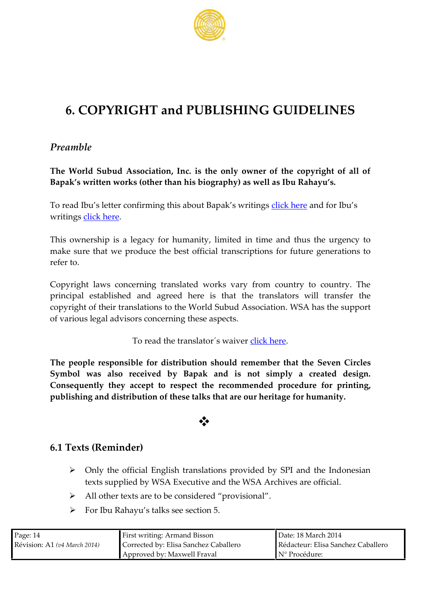## 6.COPYRIG<sup>H</sup>TCPUBLISHING GUIDELINES

Preamble

The World Subud Association only owner of the copyright of Bapak s written works (other than his biography) as well as I

To read Ibu s letter confirming this addounk Benempela koss whoruitiongs writing bick here

This ownership is a legacy lfior ithe diminanition e and thus the urgency in the state of  $\alpha$  $m$  a ke sure witch aptroduce the best official of transcription responses a tions to refer to.

Copyright laws concerning translated works vary from cour principal established and atghreated here transfer in the transfer in the transf copyright of their translations to the W.dW BdA Shuabsu dthAesssuppipatrito of various legal advisors concerning these aspects.

To read the translatodics wareer

The people responsible for distrreibnuetmidomershi**basied vie e** Circles Symbowas also received by Bapak and is not simply a c Consequently they accephetoreress menetanded procedure, for printing and  $\alpha$ publishing and utist of thestendatal are our heritage for humanity.

## ðv

### 6.1 T $\mathbf{\mathcal{R}}$  **Reminder**

- ðØ Only t**o**. EficiFanlglishnstations proviSdReld abnyd the Indonesian texts supplied by WSA Extentule and the are official.
- ðØ All other texts are to be considered provisional

ðØ For I Ruahayu asks seeti 5. n

| Page44                           | First wrif <b>Ningand Bisson</b>                      | Dated 8 March 2014 |
|----------------------------------|-------------------------------------------------------|--------------------|
| Révisi <b>A</b> nf(v4 Marc2h041) | Correcbe Elisa Sanchez Caball Rédacteursa Sanchez Cal |                    |
|                                  | ApprovbdMaxwell Fraval                                | ▌N° Procédure:     |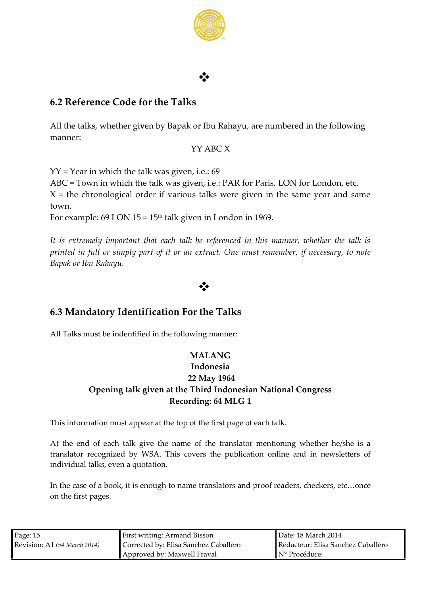

## $\Phi$  and the set of the set of  $\Phi$

### **6.2 Reference Code for the Talks**

All the talks, whether gi**v**en by Bapak or Ibu Rahayu, are numbered in the following manner:

### YY ABC X

YY = Year in which the talk was given, i.e.: 69

ABC = Town in which the talk was given, i.e.: PAR for Paris, LON for London, etc.

 $X =$  the chronological order if various talks were given in the same year and same town.

For example: 69 LON  $15 = 15<sup>th</sup>$  talk given in London in 1969.

*It is extremely important that each talk be referenced in this manner, whether the talk is printed in full or simply part of it or an extract. One must remember, if necessary, to note Bapak or Ibu Rahayu.*

## $\Phi$  and the set of the set of  $\Phi$

### **6.3 Mandatory Identification For the Talks**

All Talks must be indentified in the following manner:

### **MALANG**

### **Indonesia 22 May 1964 Opening talk given at the Third Indonesian National Congress Recording: 64 MLG 1**

This information must appear at the top of the first page of each talk.

At the end of each talk give the name of the translator mentioning whether he/she is a translator recognized by WSA. This covers the publication online and in newsletters of individual talks, even a quotation.

In the case of a book, it is enough to name translators and proof readers, checkers, etc…once on the first pages.

| Page: $15$                   | First writing: Armand Bisson          | Date: 18 March 2014                |
|------------------------------|---------------------------------------|------------------------------------|
| Révision: A1 (v4 March 2014) | Corrected by: Elisa Sanchez Caballero | Rédacteur: Elisa Sanchez Caballero |
|                              | Approved by: Maxwell Fraval           | $\mathbb{N}^{\circ}$ Procédure:    |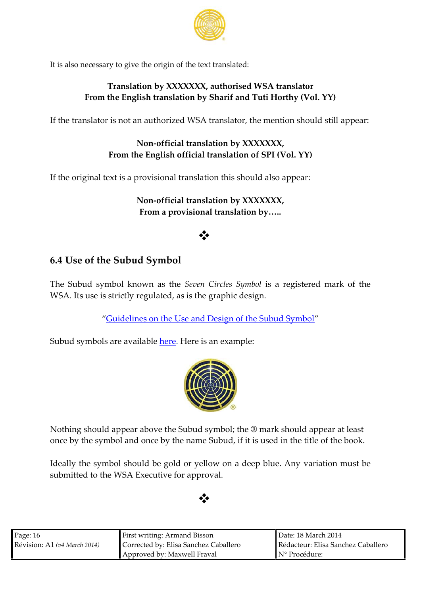It is also necessary to give the origin of the text translated:

Translatio XXXXXXXX, thorised WSA translator From the English translation by Sharif .and Tuti Horthy

If the translator is not an authorized WSA translandpe, a the ment

Nonofficial translax XoXnXXXXX, From the  $E \nrightarrow F$  first hand and  $\delta$  of  $F$   $V \circ N$   $Y$ )

If the original text is a provisional translation this should also

Nonofficial translation by XXXXXXX, From a provisional translation by &..

### ðv

6.4Use of SuhbeudSymbol

TheSubusdymbol known Stevelme Circles is Symmlogilistered mark of the Subusdymbol known Stevelme Circles is Symmlogilous mark of t WSA. situse is strictly, reaesgutheet egdraphic design

Guidelineson the Use and Design of the Subud Sym

Subud symeolroealvail[able](http://www.subud.org/start.php?mcat=5&scat=31) entere is an example:

Nothing should appear above the  $\mathsf{eS}\mathsf{\Theta}$ bme rsky should appear at least  $\mathsf{eS}\mathsf{\Theta}$ once by the symbol and once by the name Subud, if it is used

Ideally the symbol should be gold or yellow arioantiandeneups tb buee. submitted to the WSA Executive for approval

### ðv

| Page6                            | First wriflingand Bisson                               | Dated 8 March 2014 |
|----------------------------------|--------------------------------------------------------|--------------------|
| Révisi <b>A</b> nf(v4 Marc2h041) | Correcbe ∉lisa Sanchez Caball Rédact Eursa Sanchez Cal |                    |
|                                  | ApprovbdMaxwell Fraval                                 | IN° Procédure:     |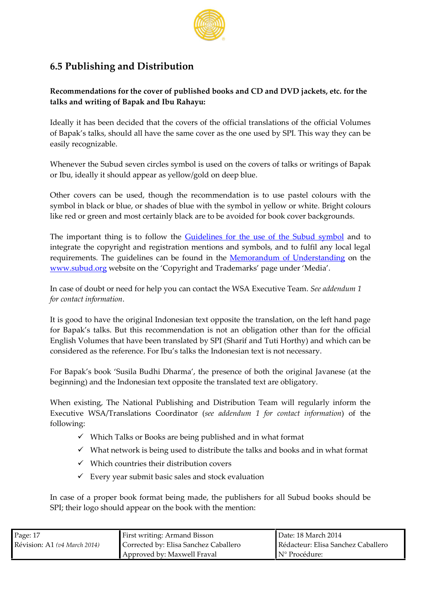### 6.5Publishing Daia dribution

Recommendations of woer tot fe poublished and of Cosand DVD jackets heetc. talks awnrdting of Bapak and Ibu Rahayu:

Ideally it has beenat detored technistic the official translations of the of of Bapak s talks, should all have the u**se** on boy co<sup>r</sup> whit and the owned by cannot be a not be a n beginned by easily recognizable.

Whenever the Subud seven circles symbol is uswerd tionnystheef oBoavpearks of or Ibu, ideally it sahro a bod yaept boew/gold on deep blue.

Other covers can be used, though the recommendation is to use symbol in black or blue, or shades of blue with the ist the orisin yellow like red or green atmed nmhy sotlacely are to flow a bookded ver backgrounds

The important thing is to allow the shide use of the Subund tsoymbol integrate the copyright and registration mentions and symbols, are requirements. The guidelines called element of the Memorandum of the Memorandum of the Memorandum of the Memor [www.subud](http://www.subud.org/)werbg eidn the Copyright and Trademarks page under Me

In case of doubt or need for help you can contable the dendum notal Executive Team . for contact information .

It is good to have the original Indonesian text opposite the transl for Bapak s talks. But this recommendation is not an obligation English Volumes that mas veated be bene trand Tuti and which can be considered as the Froerfelbeanssetalks the Indonesian text is not necess

For Bapak s Shussoilla Budhi D the emparesence of obsiod that he davanese (at the beginning) and the alm dext opposite the translated text are obligator

When existing and Publishing and Distribution Team will regul Executive TW SS And I at i $\omega$  on stratina (see addendrum dontact in) for finitation following:

- ðü Which TalBso ooks arregbreublished and in what format
- ðü What network is being used to distribute the talks and book
- ðü Which countries their disstibution cover
- ðü Every yseuabrmit basic ssatles kaendaluation

In case of a proper boogk mioardmeaptubbooelishers for all Susbhood lookows should be being a should be shown as  $\ln s$ SP<sub>their</sub> logo should appear on the book with the mention:

| $Paq$ $47$                       | First wriflingand Bisson                               | Dat: 48 March 2014                    |
|----------------------------------|--------------------------------------------------------|---------------------------------------|
| Révisi <b>A</b> nf(v4 Marc2h041) | Correcbe Elisa Sanchez Caball Rédact Eursa Sanchez Cal |                                       |
|                                  | ApprovbdMaxwell Fraval                                 | $\blacksquare$ $N^{\circ}$ Procédure: |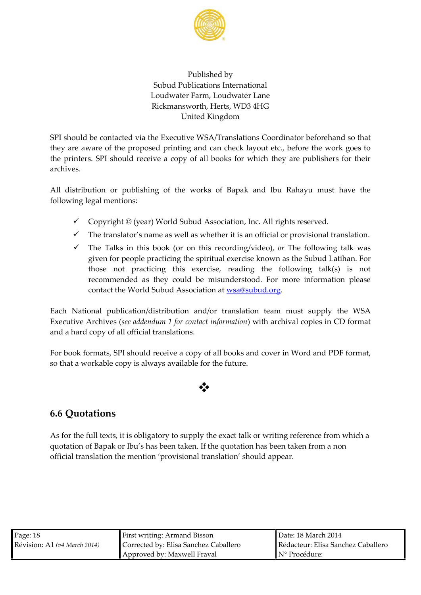### Published by Subud Publications International Loudwater Farm, Loudwater Lane Rickmansworth, He4rHtsG WD3 United Kingdom

SPI should beetecob nvtiane Exheecutive TM SSA slatCoonosrdinabteo fre hand so that they are aware of the proposed printing and can check layout etc. the print SePs should receive a copy of all books for which they are archives.

All distribution or publishing of the works of Bapak and Ibu R following legal mentions:

- ðü Copyright © (year) World Subuld CANs snoignikaastsion ned.
- ðü The translator s name as well as whethesricinals taranosflfation or
- ðü The Talks in this obno olhkis (orrec*lo*vriodieno**g**)r,The following talk was given for people practicing the spirittuhanes under cliate in kanown Fiorals. those not practicing this exercise, reading the followi recommended as they could be misunderstood. For more contact the World Subud [Associatio](mailto:wsa@subud.org)n and

 $E$  achN ation paul blica*t*d bentribution and/or transminations utpenzalmy W1SAAe  $Execut$ Awechives e $\epsilon$  adden for uncontact in for the archival inco CoD estormation  $x$ and a hard of organical translations.

For book formats, SPI should receive a copy of all **PD** for and cove so that a workable copwaisable aves the future.

ðv

### 6.6Quotations

As for the full texts, it is obligatory to supply the exact talk or wr quotation of Bapak or Ibu s has been taken. If the quotation has b official triantshiatmte on provisional translation should appear.

| $P \text{a} \mathfrak{a} \oplus 8$ | First wriflingand Bisson                              | Dat: d 8 March 2014 |
|------------------------------------|-------------------------------------------------------|---------------------|
| $R$ évisi $A$ fi(v4 Marc $2$ h041) | Correcbe Elisa Sanchez Caball Rédact∉ursa Sanchez Cal |                     |
|                                    | ApprovbdMaxwell Fraval                                | ▌N° Procédure:      |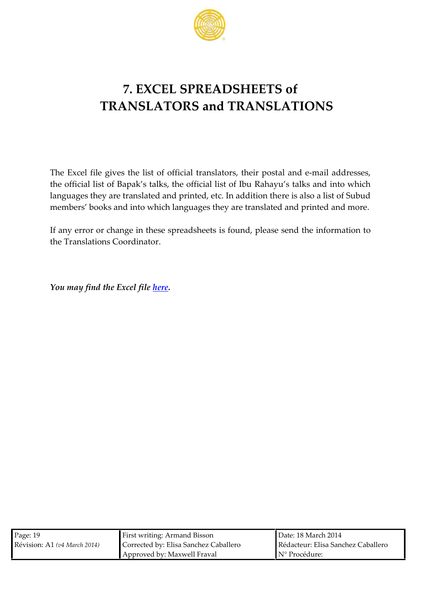# 7.EXCEL SPREADSHEETS of TRANSLATORS and TRANSLATIONS

The  $\pm$  x cofilog ive tshe list of official translation obe-mathiolia dpdorsets ses, the official list of Bapak s talks, Rhada apyrulical and into the official libust languages they are translated and prinnteedes sed callistad of i Sion buthenders membebsoks and into which languages they areantdamsolated an

If any error or change in thessefosdupmpelærealssheetsheetsmidlormattion h theTranslatCoongridinator

You may find the **hEexceel** file

| Paq@9                                | <b>First wriflingand Bisson</b>                        | Dat: d 8 March 2014 |
|--------------------------------------|--------------------------------------------------------|---------------------|
| $R$ évisi $A$ fi( $4$ Marc $2$ n041) | Correcbe ∉lisa Sanchez Caball Rédact Eursa Sanchez Cal |                     |
|                                      | ApprovbøMaxwell Fraval                                 | IN° Procédure:      |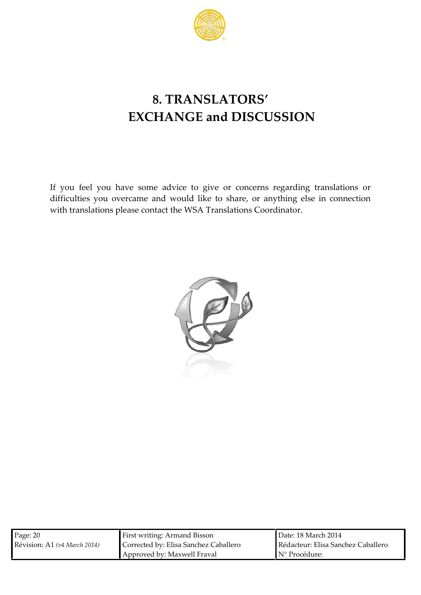

# **8. TRANSLATORS' EXCHANGE and DISCUSSION**

If you feel you have some advice to give or concerns regarding translations or difficulties you overcame and would like to share, or anything else in connection with translations please contact the WSA Translations Coordinator.



| Page: 20                     | <b>First writing: Armand Bisson</b>   | Date: 18 March 2014                |  |
|------------------------------|---------------------------------------|------------------------------------|--|
| Révision: A1 (v4 March 2014) | Corrected by: Elisa Sanchez Caballero | Rédacteur: Elisa Sanchez Caballero |  |
|                              | Approved by: Maxwell Fraval           | $\mathbb{N}^{\circ}$ Procédure:    |  |